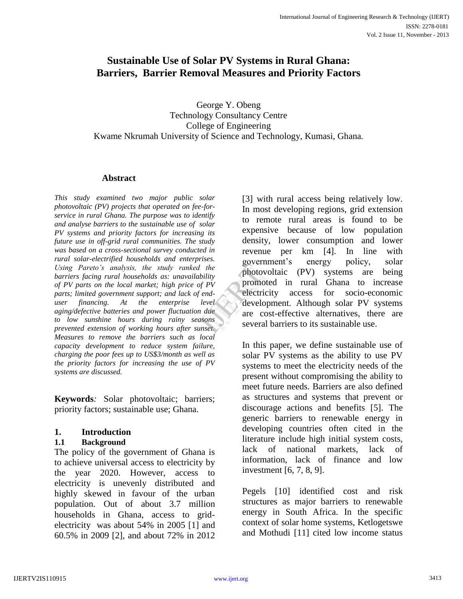# **Sustainable Use of Solar PV Systems in Rural Ghana: Barriers, Barrier Removal Measures and Priority Factors**

George Y. Obeng Technology Consultancy Centre College of Engineering Kwame Nkrumah University of Science and Technology, Kumasi, Ghana*.*

### **Abstract**

*This study examined two major public solar photovoltaic (PV) projects that operated on fee-forservice in rural Ghana. The purpose was to identify and analyse barriers to the sustainable use of solar PV systems and priority factors for increasing its future use in off-grid rural communities. The study was based on a cross-sectional survey conducted in rural solar-electrified households and enterprises. Using Pareto's analysis, the study ranked the barriers facing rural households as: unavailability of PV parts on the local market; high price of PV parts; limited government support; and lack of enduser financing. At the enterprise level aging/defective batteries and power fluctuation due to low sunshine hours during rainy seasons prevented extension of working hours after sunset. Measures to remove the barriers such as local capacity development to reduce system failure, charging the poor fees up to US\$3/month as well as the priority factors for increasing the use of PV systems are discussed.*

**Keywords***:* Solar photovoltaic; barriers; priority factors; sustainable use; Ghana.

# **1. Introduction**

### **1.1 Background**

The policy of the government of Ghana is to achieve universal access to electricity by the year 2020. However, access to electricity is unevenly distributed and highly skewed in favour of the urban population. Out of about 3.7 million households in Ghana, access to gridelectricity was about 54% in 2005 [1] and 60.5% in 2009 [2], and about 72% in 2012

[3] with rural access being relatively low. In most developing regions, grid extension to remote rural areas is found to be expensive because of low population density, lower consumption and lower revenue per km [4]. In line with government's energy policy, solar photovoltaic (PV) systems are being promoted in rural Ghana to increase electricity access for socio-economic development. Although solar PV systems are cost-effective alternatives, there are several barriers to its sustainable use. governme<br>
the<br>
lity<br>
promoted<br>
promoted<br>
vel<br>
vel<br>
developm<br>
are cost-<br>
several ba

> In this paper, we define sustainable use of solar PV systems as the ability to use PV systems to meet the electricity needs of the present without compromising the ability to meet future needs. Barriers are also defined as structures and systems that prevent or discourage actions and benefits [5]. The generic barriers to renewable energy in developing countries often cited in the literature include high initial system costs, lack of national markets, lack of information, lack of finance and low investment [6, 7, 8, 9].

> Pegels [10] identified cost and risk structures as major barriers to renewable energy in South Africa. In the specific context of solar home systems, Ketlogetswe and Mothudi [11] cited low income status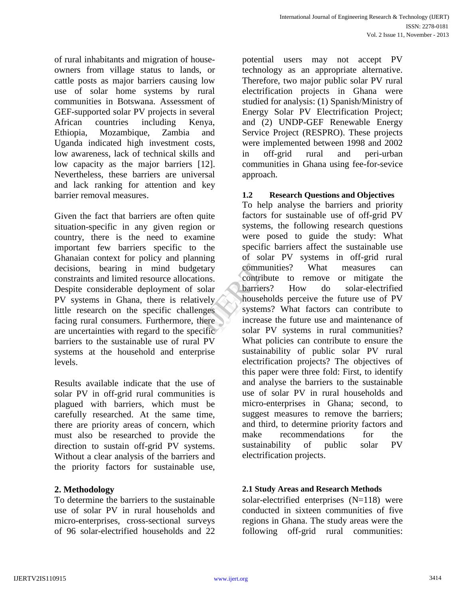of rural inhabitants and migration of houseowners from village status to lands, or cattle posts as major barriers causing low use of solar home systems by rural communities in Botswana. Assessment of GEF-supported solar PV projects in several African countries including Kenya, Ethiopia, Mozambique, Zambia and Uganda indicated high investment costs, low awareness, lack of technical skills and low capacity as the major barriers [12]. Nevertheless, these barriers are universal and lack ranking for attention and key barrier removal measures.

Given the fact that barriers are often quite situation-specific in any given region or country, there is the need to examine important few barriers specific to the Ghanaian context for policy and planning decisions, bearing in mind budgetary constraints and limited resource allocations. Despite considerable deployment of solar PV systems in Ghana, there is relatively little research on the specific challenges facing rural consumers. Furthermore, there are uncertainties with regard to the specific barriers to the sustainable use of rural PV systems at the household and enterprise levels.

Results available indicate that the use of solar PV in off-grid rural communities is plagued with barriers, which must be carefully researched. At the same time, there are priority areas of concern, which must also be researched to provide the direction to sustain off-grid PV systems. Without a clear analysis of the barriers and the priority factors for sustainable use,

To determine the barriers to the sustainable use of solar PV in rural households and micro-enterprises, cross-sectional surveys of 96 solar-electrified households and 22

potential users may not accept PV technology as an appropriate alternative. Therefore, two major public solar PV rural electrification projects in Ghana were studied for analysis: (1) Spanish/Ministry of Energy Solar PV Electrification Project; and (2) UNDP-GEF Renewable Energy Service Project (RESPRO). These projects were implemented between 1998 and 2002 in off-grid rural and peri-urban communities in Ghana using fee-for-sevice approach.

# **1.2 Research Questions and Objectives**

To help analyse the barriers and priority factors for sustainable use of off-grid PV systems, the following research questions were posed to guide the study: What specific barriers affect the sustainable use of solar PV systems in off-grid rural communities? What measures can contribute to remove or mitigate the barriers? How do solar-electrified households perceive the future use of PV systems? What factors can contribute to increase the future use and maintenance of solar PV systems in rural communities? What policies can contribute to ensure the sustainability of public solar PV rural electrification projects? The objectives of this paper were three fold: First, to identify and analyse the barriers to the sustainable use of solar PV in rural households and micro-enterprises in Ghana; second, to suggest measures to remove the barriers; and third, to determine priority factors and make recommendations for the sustainability of public solar PV electrification projects. France Community<br>
International Community<br>
International Community<br>
International Community<br>
International Community<br>
International Community<br>
International Community<br>
International Community<br>
International Community<br>
Inte

# **2. Methodology 2.1 Study Areas and Research Methods**

solar-electrified enterprises (N=118) were conducted in sixteen communities of five regions in Ghana. The study areas were the following off-grid rural communities: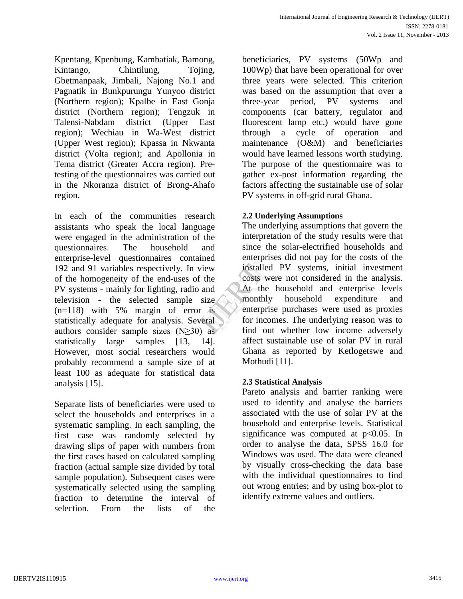Kpentang, Kpenbung, Kambatiak, Bamong, Kintango, Chintilung, Tojing, Gbetmanpaak, Jimbali, Najong No.1 and Pagnatik in Bunkpurungu Yunyoo district (Northern region); Kpalbe in East Gonja district (Northern region); Tengzuk in Talensi-Nabdam district (Upper East region); Wechiau in Wa-West district (Upper West region); Kpassa in Nkwanta district (Volta region); and Apollonia in Tema district (Greater Accra region). Pretesting of the questionnaires was carried out in the Nkoranza district of Brong-Ahafo region.

In each of the communities research assistants who speak the local language were engaged in the administration of the questionnaires. The household and enterprise-level questionnaires contained 192 and 91 variables respectively. In view of the homogeneity of the end-uses of the PV systems - mainly for lighting, radio and television - the selected sample size  $(n=118)$  with 5% margin of error is statistically adequate for analysis. Several authors consider sample sizes  $(N \geq 30)$  as statistically large samples [13, 14]. However, most social researchers would probably recommend a sample size of at least 100 as adequate for statistical data analysis [15].

Separate lists of beneficiaries were used to select the households and enterprises in a systematic sampling. In each sampling, the first case was randomly selected by drawing slips of paper with numbers from the first cases based on calculated sampling fraction (actual sample size divided by total sample population). Subsequent cases were systematically selected using the sampling fraction to determine the interval of selection. From the lists of the

beneficiaries, PV systems (50Wp and 100Wp) that have been operational for over three years were selected. This criterion was based on the assumption that over a three-year period, PV systems and components (car battery, regulator and fluorescent lamp etc.) would have gone through a cycle of operation and maintenance (O&M) and beneficiaries would have learned lessons worth studying. The purpose of the questionnaire was to gather ex-post information regarding the factors affecting the sustainable use of solar PV systems in off-grid rural Ghana.

# **2.2 Underlying Assumptions**

The underlying assumptions that govern the interpretation of the study results were that since the solar-electrified households and enterprises did not pay for the costs of the installed PV systems, initial investment costs were not considered in the analysis. At the household and enterprise levels monthly household expenditure and enterprise purchases were used as proxies for incomes. The underlying reason was to find out whether low income adversely affect sustainable use of solar PV in rural Ghana as reported by Ketlogetswe and Mothudi [11]. Eventure installed<br>
the costs were<br>
nd At the P<br>
ize monthly<br>
is enterprise<br>
for incom<br>
as find out

# **2.3 Statistical Analysis**

Pareto analysis and barrier ranking were used to identify and analyse the barriers associated with the use of solar PV at the household and enterprise levels. Statistical significance was computed at  $p<0.05$ . In order to analyse the data, SPSS 16.0 for Windows was used. The data were cleaned by visually cross-checking the data base with the individual questionnaires to find out wrong entries; and by using box-plot to identify extreme values and outliers.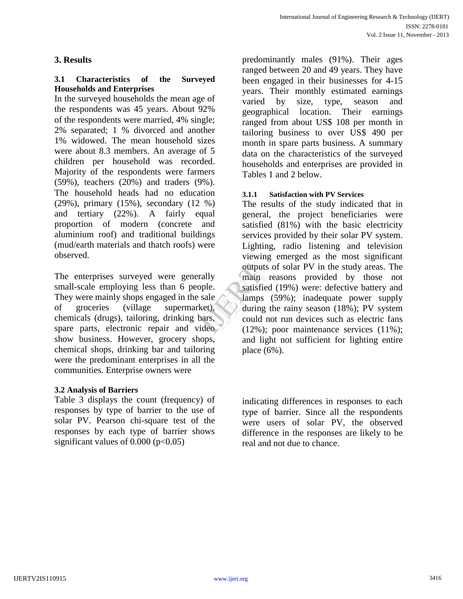# **3. Results**

### **3.1 Characteristics of the Surveyed Households and Enterprises**

In the surveyed households the mean age of the respondents was 45 years. About 92% of the respondents were married, 4% single; 2% separated; 1 % divorced and another 1% widowed. The mean household sizes were about 8.3 members. An average of 5 children per household was recorded. Majority of the respondents were farmers (59%), teachers (20%) and traders (9%). The household heads had no education (29%), primary (15%), secondary (12 %) and tertiary (22%). A fairly equal proportion of modern (concrete and aluminium roof) and traditional buildings (mud/earth materials and thatch roofs) were observed.

The enterprises surveyed were generally small-scale employing less than 6 people. They were mainly shops engaged in the sale of groceries (village supermarket), chemicals (drugs), tailoring, drinking bars, spare parts, electronic repair and video show business. However, grocery shops, chemical shops, drinking bar and tailoring were the predominant enterprises in all the communities. Enterprise owners were

### **3.2 Analysis of Barriers**

Table 3 displays the count (frequency) of responses by type of barrier to the use of solar PV. Pearson chi-square test of the responses by each type of barrier shows significant values of  $0.000$  ( $p<0.05$ )

predominantly males (91%). Their ages ranged between 20 and 49 years. They have been engaged in their businesses for 4-15 years. Their monthly estimated earnings varied by size, type, season and geographical location. Their earnings ranged from about US\$ 108 per month in tailoring business to over US\$ 490 per month in spare parts business. A summary data on the characteristics of the surveyed households and enterprises are provided in Tables 1 and 2 below.

#### **3.1.1 Satisfaction with PV Services**

The results of the study indicated that in general, the project beneficiaries were satisfied (81%) with the basic electricity services provided by their solar PV system. Lighting, radio listening and television viewing emerged as the most significant outputs of solar PV in the study areas. The main reasons provided by those not satisfied (19%) were: defective battery and lamps (59%); inadequate power supply during the rainy season (18%); PV system could not run devices such as electric fans (12%); poor maintenance services (11%); and light not sufficient for lighting entire place (6%). outputs of<br>
Ily main reals<br>
le.<br>
ale lamps (5<br>
during the<br>
could not<br>
(12%); points

> indicating differences in responses to each type of barrier. Since all the respondents were users of solar PV, the observed difference in the responses are likely to be real and not due to chance.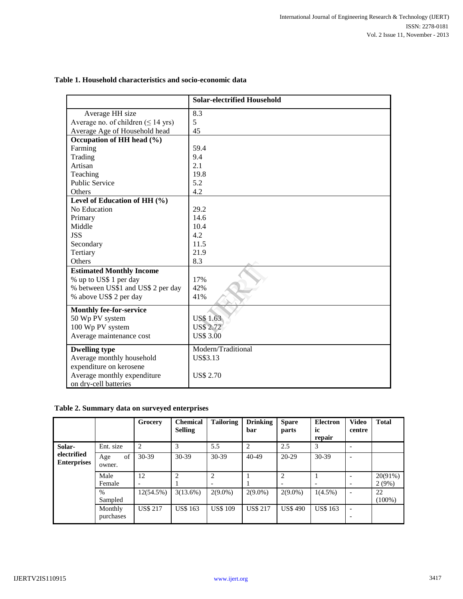|                                                  | <b>Solar-electrified Household</b> |
|--------------------------------------------------|------------------------------------|
| Average HH size                                  | 8.3                                |
| Average no. of children $( \leq 14 \text{ yrs})$ | 5                                  |
| Average Age of Household head                    | 45                                 |
| Occupation of HH head (%)                        |                                    |
| Farming                                          | 59.4                               |
| Trading                                          | 9.4                                |
| Artisan                                          | 2.1                                |
| Teaching                                         | 19.8                               |
| <b>Public Service</b>                            | 5.2                                |
| Others                                           | 4.2                                |
| Level of Education of HH (%)                     |                                    |
| No Education                                     | 29.2                               |
| Primary                                          | 14.6                               |
| Middle                                           | 10.4                               |
| <b>JSS</b>                                       | 4.2                                |
| Secondary                                        | 11.5                               |
| Tertiary                                         | 21.9                               |
| Others                                           | 8.3                                |
| <b>Estimated Monthly Income</b>                  |                                    |
| % up to US\$ 1 per day                           | 17%                                |
| % between US\$1 and US\$ 2 per day               | 42%                                |
| % above US\$ 2 per day                           | 41%                                |
| <b>Monthly fee-for-service</b>                   |                                    |
| 50 Wp PV system                                  | <b>US\$1.63</b>                    |
| 100 Wp PV system                                 | <b>US\$ 2.72</b>                   |
| Average maintenance cost                         | <b>US\$ 3.00</b>                   |
| <b>Dwelling type</b>                             | Modern/Traditional                 |
| Average monthly household                        | US\$3.13                           |
| expenditure on kerosene                          |                                    |
| Average monthly expenditure                      | <b>US\$ 2.70</b>                   |
| on dry-cell batteries                            |                                    |

#### **Table 1. Household characteristics and socio-economic data**

#### **Table 2. Summary data on surveyed enterprises**

|                                   |                      | Grocery                  | <b>Chemical</b><br><b>Selling</b> | <b>Tailoring</b> | <b>Drinking</b><br>bar | <b>Spare</b><br>parts | <b>Electron</b><br>ic<br>repair | <b>Video</b><br>centre                               | <b>Total</b> |
|-----------------------------------|----------------------|--------------------------|-----------------------------------|------------------|------------------------|-----------------------|---------------------------------|------------------------------------------------------|--------------|
| Solar-                            | Ent. size            | 2                        | 3                                 | 5.5              | $\overline{c}$         | 2.5                   | 3                               | $\overline{\phantom{0}}$                             |              |
| electrified<br><b>Enterprises</b> | of<br>Age<br>owner.  | $30-39$                  | $30-39$                           | 30-39            | $40 - 49$              | 20-29                 | 30-39                           | $\overline{\phantom{0}}$                             |              |
|                                   | Male                 | 12                       | $\overline{c}$                    | 2                |                        | 2                     |                                 |                                                      | 20(91%)      |
|                                   | Female               | $\overline{\phantom{0}}$ |                                   |                  |                        |                       | $\overline{\phantom{a}}$        | $\overline{\phantom{0}}$                             | 2(9%)        |
|                                   | $\%$                 | 12(54.5%)                | 3(13.6%)                          | $2(9.0\%)$       | $2(9.0\%)$             | $2(9.0\%)$            | $1(4.5\%)$                      | $\overline{\phantom{a}}$                             | 22           |
|                                   | Sampled              |                          |                                   |                  |                        |                       |                                 |                                                      | $(100\%)$    |
|                                   | Monthly<br>purchases | <b>US\$ 217</b>          | <b>US\$ 163</b>                   | <b>US\$ 109</b>  | <b>US\$ 217</b>        | <b>US\$490</b>        | <b>US\$ 163</b>                 | $\overline{\phantom{a}}$<br>$\overline{\phantom{0}}$ |              |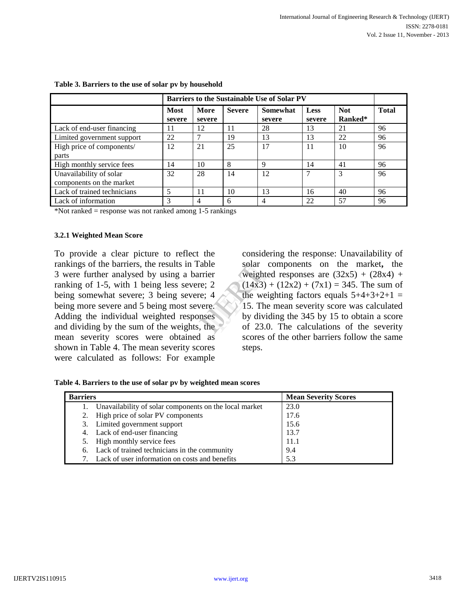|                             | <b>Barriers to the Sustainable Use of Solar PV</b> |                |               |                    |                |                       |              |
|-----------------------------|----------------------------------------------------|----------------|---------------|--------------------|----------------|-----------------------|--------------|
|                             | Most<br>severe                                     | More<br>severe | <b>Severe</b> | Somewhat<br>severe | Less<br>severe | <b>Not</b><br>Ranked* | <b>Total</b> |
| Lack of end-user financing  | 11                                                 | 12             | 11            | 28                 | 13             | 21                    | 96           |
| Limited government support  | 22                                                 |                | 19            | 13                 | 13             | 22                    | 96           |
| High price of components/   | 12                                                 | 21             | 25            | 17                 | 11             | 10                    | 96           |
| parts                       |                                                    |                |               |                    |                |                       |              |
| High monthly service fees   | 14                                                 | 10             | 8             | 9                  | 14             | 41                    | 96           |
| Unavailability of solar     | 32                                                 | 28             | 14            | 12                 | ⇁              | 3                     | 96           |
| components on the market    |                                                    |                |               |                    |                |                       |              |
| Lack of trained technicians |                                                    | 11             | 10            | 13                 | 16             | 40                    | 96           |
| Lack of information         | 3                                                  | 4              | 6             | $\overline{4}$     | 22             | 57                    | 96           |

#### **Table 3. Barriers to the use of solar pv by household**

\*Not ranked = response was not ranked among 1-5 rankings

#### **3.2.1 Weighted Mean Score**

To provide a clear picture to reflect the rankings of the barriers, the results in Table 3 were further analysed by using a barrier ranking of 1-5, with 1 being less severe; 2 being somewhat severe; 3 being severe; 4 being more severe and 5 being most severe. Adding the individual weighted responses and dividing by the sum of the weights, the mean severity scores were obtained as shown in Table 4. The mean severity scores were calculated as follows: For example

considering the response: Unavailability of solar components on the market**,** the weighted responses are  $(32x5) + (28x4) +$  $(14x3) + (12x2) + (7x1) = 345$ . The sum of the weighting factors equals  $5+4+3+2+1$  = 15. The mean severity score was calculated by dividing the 345 by 15 to obtain a score of 23.0. The calculations of the severity scores of the other barriers follow the same steps. ble solar conditions is a set of 23.0.<br>
Solar conditions of 23.0.<br>
The metal is a set of 23.0.

| <b>Barriers</b> |                                                           | <b>Mean Severity Scores</b> |
|-----------------|-----------------------------------------------------------|-----------------------------|
|                 | 1. Unavailability of solar components on the local market | 23.0                        |
|                 | 2. High price of solar PV components                      | 17.6                        |
|                 | 3. Limited government support                             | 15.6                        |
|                 | 4. Lack of end-user financing                             | 13.7                        |
|                 | 5. High monthly service fees                              | 11.1                        |
|                 | 6. Lack of trained technicians in the community           | 9.4                         |
|                 | Lack of user information on costs and benefits            | 5.3                         |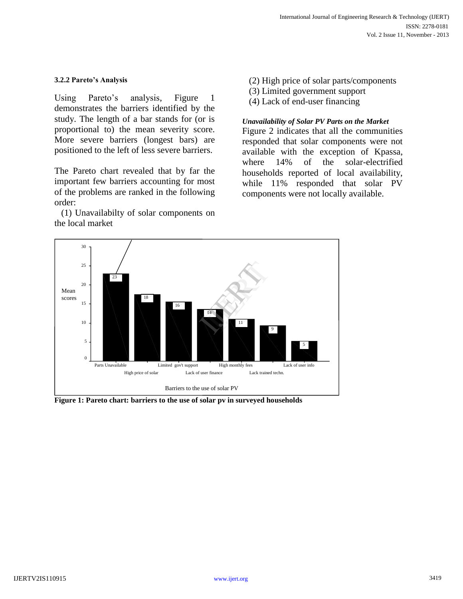#### **3.2.2 Pareto's Analysis**

Using Pareto's analysis, Figure 1 demonstrates the barriers identified by the study. The length of a bar stands for (or is proportional to) the mean severity score. More severe barriers (longest bars) are positioned to the left of less severe barriers.

The Pareto chart revealed that by far the important few barriers accounting for most of the problems are ranked in the following order:

(1) Unavailabilty of solar components on the local market

- (2) High price of solar parts/components
- (3) Limited government support
- (4) Lack of end-user financing

### *Unavailability of Solar PV Parts on the Market*

Figure 2 indicates that all the communities responded that solar components were not available with the exception of Kpassa, where 14% of the solar-electrified households reported of local availability, while 11% responded that solar PV components were not locally available.



**Figure 1: Pareto chart: barriers to the use of solar pv in surveyed households**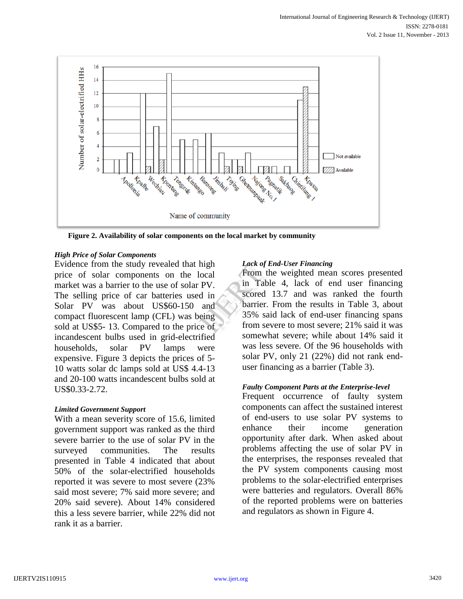

**Figure 2. Availability of solar components on the local market by community**

### *High Price of Solar Components*

Evidence from the study revealed that high price of solar components on the local market was a barrier to the use of solar PV. The selling price of car batteries used in Solar PV was about US\$60-150 and compact fluorescent lamp (CFL) was being sold at US\$5-13. Compared to the price of incandescent bulbs used in grid-electrified households, solar PV lamps were expensive. Figure 3 depicts the prices of 5- 10 watts solar dc lamps sold at US\$ 4.4-13 and 20-100 watts incandescent bulbs sold at US\$0.33-2.72.

# *Limited Government Support*

With a mean severity score of 15.6, limited government support was ranked as the third severe barrier to the use of solar PV in the surveyed communities. The results presented in Table 4 indicated that about 50% of the solar-electrified households reported it was severe to most severe (23% said most severe; 7% said more severe; and 20% said severe). About 14% considered this a less severe barrier, while 22% did not rank it as a barrier.

### *Lack of End-User Financing*

From the weighted mean scores presented in Table 4, lack of end user financing scored 13.7 and was ranked the fourth barrier. From the results in Table 3, about 35% said lack of end-user financing spans from severe to most severe; 21% said it was somewhat severe; while about 14% said it was less severe. Of the 96 households with solar PV, only 21 (22%) did not rank enduser financing as a barrier (Table 3). gh Lack of End<br>
2nd From the<br>
V. in Table<br>
in scored 1.<br>
ind barrier. F<br>
35% said<br>
from seve

# *Faulty Component Parts at the Enterprise-level*

Frequent occurrence of faulty system components can affect the sustained interest of end-users to use solar PV systems to enhance their income generation opportunity after dark. When asked about problems affecting the use of solar PV in the enterprises, the responses revealed that the PV system components causing most problems to the solar-electrified enterprises were batteries and regulators. Overall 86% of the reported problems were on batteries and regulators as shown in Figure 4.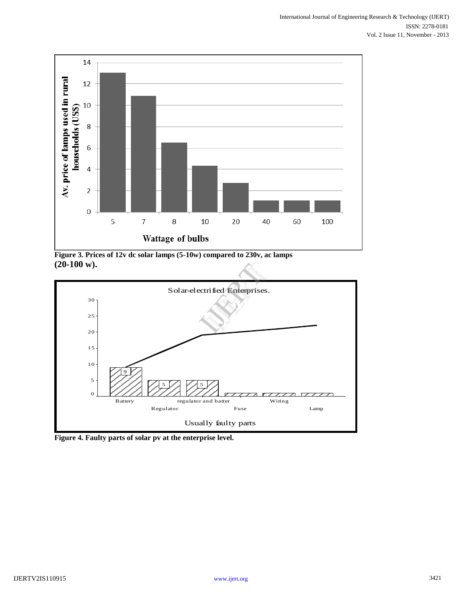

**Figure 3. Prices of 12v dc solar lamps (5-10w) compared to 230v, ac lamps (20-100 w).**



**Figure 4. Faulty parts of solar pv at the enterprise level.**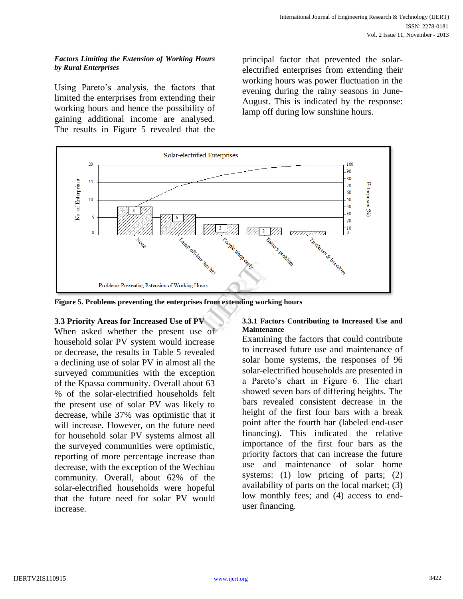#### *Factors Limiting the Extension of Working Hours by Rural Enterprises*

Using Pareto's analysis, the factors that limited the enterprises from extending their working hours and hence the possibility of gaining additional income are analysed. The results in Figure 5 revealed that the

principal factor that prevented the solarelectrified enterprises from extending their working hours was power fluctuation in the evening during the rainy seasons in June-August. This is indicated by the response: lamp off during low sunshine hours.



**Figure 5. Problems preventing the enterprises from extending working hours**

# **3.3 Priority Areas for Increased Use of PV**

When asked whether the present use of household solar PV system would increase or decrease, the results in Table 5 revealed a declining use of solar PV in almost all the surveyed communities with the exception of the Kpassa community. Overall about 63 % of the solar-electrified households felt the present use of solar PV was likely to decrease, while 37% was optimistic that it will increase. However, on the future need for household solar PV systems almost all the surveyed communities were optimistic, reporting of more percentage increase than decrease, with the exception of the Wechiau community. Overall, about 62% of the solar-electrified households were hopeful that the future need for solar PV would increase.

#### **3.3.1 Factors Contributing to Increased Use and Maintenance**

Examining the factors that could contribute to increased future use and maintenance of solar home systems, the responses of 96 solar-electrified households are presented in a Pareto's chart in Figure 6. The chart showed seven bars of differing heights. The bars revealed consistent decrease in the height of the first four bars with a break point after the fourth bar (labeled end-user financing). This indicated the relative importance of the first four bars as the priority factors that can increase the future use and maintenance of solar home systems: (1) low pricing of parts; (2) availability of parts on the local market; (3) low monthly fees; and (4) access to enduser financing.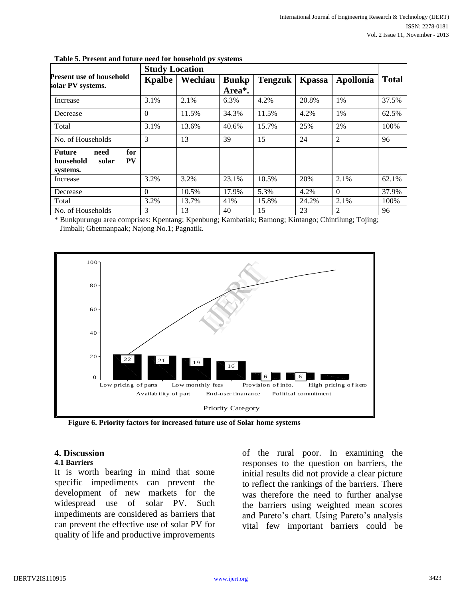|                                                                      | <b>Study Location</b> |         |                        |         |                |                |              |
|----------------------------------------------------------------------|-----------------------|---------|------------------------|---------|----------------|----------------|--------------|
| <b>Present use of household</b><br>solar PV systems.                 | Kpalbe                | Wechiau | <b>Bunkp</b><br>Area*. | Tengzuk | <b>K</b> passa | Apollonia      | <b>Total</b> |
| Increase                                                             | 3.1%                  | 2.1%    | 6.3%                   | 4.2%    | 20.8%          | 1%             | 37.5%        |
| Decrease                                                             | $\Omega$              | 11.5%   | 34.3%                  | 11.5%   | 4.2%           | $1\%$          | 62.5%        |
| Total                                                                | 3.1%                  | 13.6%   | 40.6%                  | 15.7%   | 25%            | 2%             | 100%         |
| No. of Households                                                    | 3                     | 13      | 39                     | 15      | 24             | $\overline{2}$ | 96           |
| for<br><b>Future</b><br>need<br>PV<br>household<br>solar<br>systems. |                       |         |                        |         |                |                |              |
| Increase                                                             | 3.2%                  | 3.2%    | 23.1%                  | 10.5%   | 20%            | 2.1%           | 62.1%        |
| Decrease                                                             | $\Omega$              | 10.5%   | 17.9%                  | 5.3%    | 4.2%           | $\Omega$       | 37.9%        |
| Total                                                                | 3.2%                  | 13.7%   | 41%                    | 15.8%   | 24.2%          | 2.1%           | 100%         |
| No. of Households                                                    | 3                     | 13      | 40                     | 15      | 23             | 2              | 96           |

| Table 5. Present and future need for household pv systems |  |  |
|-----------------------------------------------------------|--|--|
|                                                           |  |  |

\* Bunkpurungu area comprises: Kpentang; Kpenbung; Kambatiak; Bamong; Kintango; Chintilung; Tojing; Jimbali; Gbetmanpaak; Najong No.1; Pagnatik.



**Figure 6. Priority factors for increased future use of Solar home systems**

#### **4. Discussion**

#### **4.1 Barriers**

It is worth bearing in mind that some specific impediments can prevent the development of new markets for the widespread use of solar PV. Such impediments are considered as barriers that can prevent the effective use of solar PV for quality of life and productive improvements

of the rural poor. In examining the responses to the question on barriers, the initial results did not provide a clear picture to reflect the rankings of the barriers. There was therefore the need to further analyse the barriers using weighted mean scores and Pareto's chart. Using Pareto's analysis vital few important barriers could be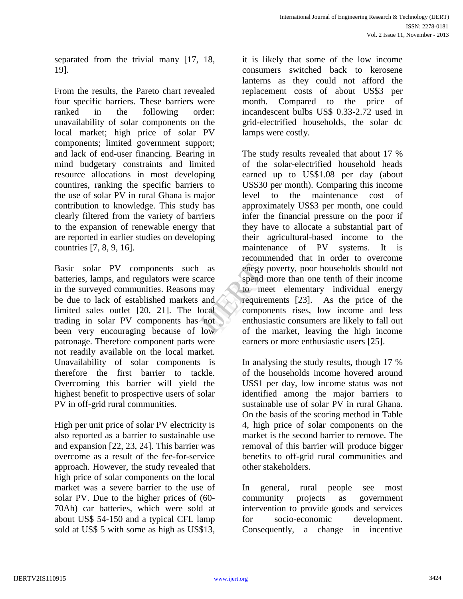separated from the trivial many [17, 18, 19].

From the results, the Pareto chart revealed four specific barriers. These barriers were ranked in the following order: unavailability of solar components on the local market; high price of solar PV components; limited government support; and lack of end-user financing. Bearing in mind budgetary constraints and limited resource allocations in most developing countires, ranking the specific barriers to the use of solar PV in rural Ghana is major contribution to knowledge. This study has clearly filtered from the variety of barriers to the expansion of renewable energy that are reported in earlier studies on developing countries [7, 8, 9, 16].

Basic solar PV components such as batteries, lamps, and regulators were scarce in the surveyed communities. Reasons may be due to lack of established markets and limited sales outlet [20, 21]. The local trading in solar PV components has not been very encouraging because of low patronage. Therefore component parts were not readily available on the local market. Unavailability of solar components is therefore the first barrier to tackle. Overcoming this barrier will yield the highest benefit to prospective users of solar PV in off-grid rural communities.

High per unit price of solar PV electricity is also reported as a barrier to sustainable use and expansion [22, 23, 24]. This barrier was overcome as a result of the fee-for-service approach. However, the study revealed that high price of solar components on the local market was a severe barrier to the use of solar PV. Due to the higher prices of (60- 70Ah) car batteries, which were sold at about US\$ 54-150 and a typical CFL lamp sold at US\$ 5 with some as high as US\$13, it is likely that some of the low income consumers switched back to kerosene lanterns as they could not afford the replacement costs of about US\$3 per month. Compared to the price of incandescent bulbs US\$ 0.33-2.72 used in grid-electrified households, the solar dc lamps were costly.

The study results revealed that about 17 % of the solar-electrified household heads earned up to US\$1.08 per day (about US\$30 per month). Comparing this income level to the maintenance cost of approximately US\$3 per month, one could infer the financial pressure on the poor if they have to allocate a substantial part of their agricultural-based income to the maintenance of PV systems. It is recommended that in order to overcome enegy poverty, poor households should not spend more than one tenth of their income to meet elementary individual energy requirements [23]. As the price of the components rises, low income and less enthusiastic consumers are likely to fall out of the market, leaving the high income earners or more enthusiastic users [25]. as<br>
ce<br>
ce<br>
spend mo<br>
ay<br>
to meet<br>
meet<br>
requirement<br>
cal<br>
componer<br>
enthusiast<br>
of the m

> In analysing the study results, though 17 % of the households income hovered around US\$1 per day, low income status was not identified among the major barriers to sustainable use of solar PV in rural Ghana. On the basis of the scoring method in Table 4, high price of solar components on the market is the second barrier to remove. The removal of this barrier will produce bigger benefits to off-grid rural communities and other stakeholders.

In general, rural people see most community projects as government intervention to provide goods and services for socio-economic development. Consequently, a change in incentive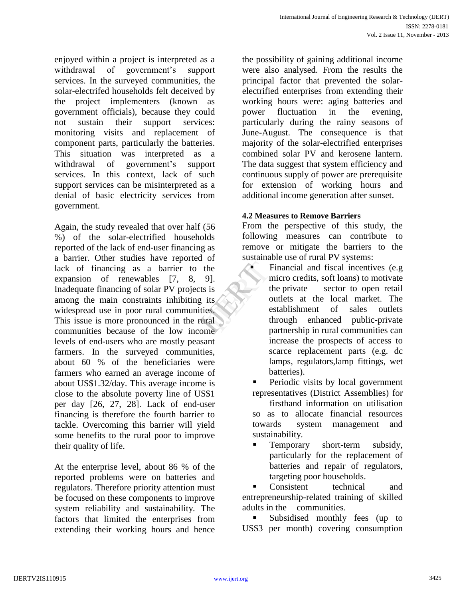enjoyed within a project is interpreted as a withdrawal of government's support services. In the surveyed communities, the solar-electrifed households felt deceived by the project implementers (known as government officials), because they could not sustain their support services: monitoring visits and replacement of component parts, particularly the batteries. This situation was interpreted as a withdrawal of government's support services. In this context, lack of such support services can be misinterpreted as a denial of basic electricity services from government.

Again, the study revealed that over half (56 %) of the solar-electrified households reported of the lack of end-user financing as a barrier. Other studies have reported of lack of financing as a barrier to the expansion of renewables [7, 8, 9]. Inadequate financing of solar PV projects is among the main constraints inhibiting its widespread use in poor rural communities. This issue is more pronounced in the rural communities because of the low income levels of end-users who are mostly peasant farmers. In the surveyed communities, about 60 % of the beneficiaries were farmers who earned an average income of about US\$1.32/day. This average income is close to the absolute poverty line of US\$1 per day [26, 27, 28]. Lack of end-user financing is therefore the fourth barrier to tackle. Overcoming this barrier will yield some benefits to the rural poor to improve their quality of life.

At the enterprise level, about 86 % of the reported problems were on batteries and regulators. Therefore priority attention must be focused on these components to improve system reliability and sustainability. The factors that limited the enterprises from extending their working hours and hence

the possibility of gaining additional income were also analysed. From the results the principal factor that prevented the solarelectrified enterprises from extending their working hours were: aging batteries and power fluctuation in the evening, particularly during the rainy seasons of June-August. The consequence is that majority of the solar-electrified enterprises combined solar PV and kerosene lantern. The data suggest that system efficiency and continuous supply of power are prerequisite for extension of working hours and additional income generation after sunset.

## **4.2 Measures to Remove Barriers**

From the perspective of this study, the following measures can contribute to remove or mitigate the barriers to the sustainable use of rural PV systems:

- Financial and fiscal incentives (e.g micro credits, soft loans) to motivate the private sector to open retail outlets at the local market. The establishment of sales outlets through enhanced public-private partnership in rural communities can increase the prospects of access to scarce replacement parts (e.g. dc lamps, regulators,lamp fittings, wet batteries). IJERT
	- Periodic visits by local government representatives (District Assemblies) for
	- firsthand information on utilisation so as to allocate financial resources towards system management and sustainability.
	- **Temporary** short-term subsidy, particularly for the replacement of batteries and repair of regulators, targeting poor households.

 Consistent technical and entrepreneurship-related training of skilled adults in the communities.

 Subsidised monthly fees (up to US\$3 per month) covering consumption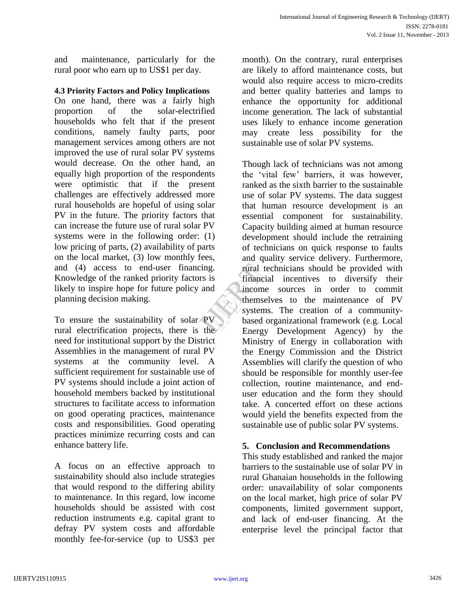and maintenance, particularly for the rural poor who earn up to US\$1 per day.

## **4.3 Priority Factors and Policy Implications**

On one hand, there was a fairly high proportion of the solar-electrified households who felt that if the present conditions, namely faulty parts, poor management services among others are not improved the use of rural solar PV systems would decrease. On the other hand, an equally high proportion of the respondents were optimistic that if the present challenges are effectively addressed more rural households are hopeful of using solar PV in the future. The priority factors that can increase the future use of rural solar PV systems were in the following order: (1) low pricing of parts, (2) availability of parts on the local market, (3) low monthly fees, and (4) access to end-user financing. Knowledge of the ranked priority factors is likely to inspire hope for future policy and planning decision making.

To ensure the sustainability of solar PV rural electrification projects, there is the need for institutional support by the District Assemblies in the management of rural PV systems at the community level. A sufficient requirement for sustainable use of PV systems should include a joint action of household members backed by institutional structures to facilitate access to information on good operating practices, maintenance costs and responsibilities. Good operating practices minimize recurring costs and can enhance battery life.

A focus on an effective approach to sustainability should also include strategies that would respond to the differing ability to maintenance. In this regard, low income households should be assisted with cost reduction instruments e.g. capital grant to defray PV system costs and affordable monthly fee-for-service (up to US\$3 per

month). On the contrary, rural enterprises are likely to afford maintenance costs, but would also require access to micro-credits and better quality batteries and lamps to enhance the opportunity for additional income generation. The lack of substantial uses likely to enhance income generation may create less possibility for the sustainable use of solar PV systems.

Though lack of technicians was not among the 'vital few' barriers, it was however, ranked as the sixth barrier to the sustainable use of solar PV systems. The data suggest that human resource development is an essential component for sustainability. Capacity building aimed at human resource development should include the retraining of technicians on quick response to faults and quality service delivery. Furthermore, rural technicians should be provided with financial incentives to diversify their income sources in order to commit themselves to the maintenance of PV systems. The creation of a communitybased organizational framework (e.g. Local Energy Development Agency) by the Ministry of Energy in collaboration with the Energy Commission and the District Assemblies will clarify the question of who should be responsible for monthly user-fee collection, routine maintenance, and enduser education and the form they should take. A concerted effort on these actions would yield the benefits expected from the sustainable use of public solar PV systems. rural tech<br>
is financial<br>
interval tech<br>
financial<br>
income<br>
themselve<br>
systems.<br>
based org<br>
Freroy

# **5. Conclusion and Recommendations**

This study established and ranked the major barriers to the sustainable use of solar PV in rural Ghanaian households in the following order: unavailability of solar components on the local market, high price of solar PV components, limited government support, and lack of end-user financing. At the enterprise level the principal factor that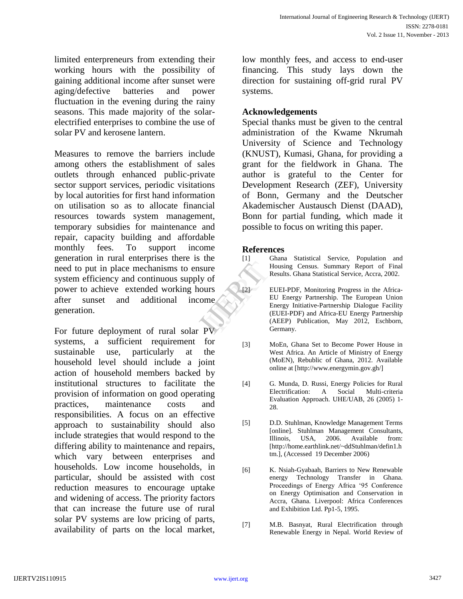limited enterpreneurs from extending their working hours with the possibility of gaining additional income after sunset were aging/defective batteries and power fluctuation in the evening during the rainy seasons. This made majority of the solarelectrified enterprises to combine the use of solar PV and kerosene lantern.

Measures to remove the barriers include among others the establishment of sales outlets through enhanced public-private sector support services, periodic visitations by local autorities for first hand information on utilisation so as to allocate financial resources towards system management, temporary subsidies for maintenance and repair, capacity building and affordable monthly fees. To support income generation in rural enterprises there is the need to put in place mechanisms to ensure system efficiency and continuous supply of power to achieve extended working hours after sunset and additional income generation.

For future deployment of rural solar PV systems, a sufficient requirement for sustainable use, particularly at the household level should include a joint action of household members backed by institutional structures to facilitate the provision of information on good operating practices, maintenance costs and responsibilities. A focus on an effective approach to sustainability should also include strategies that would respond to the differing ability to maintenance and repairs, which vary between enterprises and households. Low income households, in particular, should be assisted with cost reduction measures to encourage uptake and widening of access. The priority factors that can increase the future use of rural solar PV systems are low pricing of parts, availability of parts on the local market,

low monthly fees, and access to end-user financing. This study lays down the direction for sustaining off-grid rural PV systems.

# **Acknowledgements**

Special thanks must be given to the central administration of the Kwame Nkrumah University of Science and Technology (KNUST), Kumasi, Ghana, for providing a grant for the fieldwork in Ghana. The author is grateful to the Center for Development Research (ZEF), University of Bonn, Germany and the Deutscher Akademischer Austausch Dienst (DAAD), Bonn for partial funding, which made it possible to focus on writing this paper.

#### **References**

[1] Ghana Statistical Service, Population and Housing Census. Summary Report of Final Results. Ghana Statistical Service, Accra, 2002.

- [2] EUEI-PDF, Monitoring Progress in the Africa-EU Energy Partnership. The European Union Energy Initiative-Partnership Dialogue Facility (EUEI-PDF) and Africa-EU Energy Partnership (AEEP) Publication, May 2012, Eschborn, Germany. IJERT
	- [3] MoEn, Ghana Set to Become Power House in West Africa. An Article of Ministry of Energy (MoEN), Rebublic of Ghana, 2012. Available online at [http://www.energymin.gov.gh/]
	- [4] G. Munda, D. Russi, Energy Policies for Rural Electrification: A Social Multi-criteria Evaluation Approach. UHE/UAB, 26 (2005) 1- 28.
	- [5] D.D. Stuhlman, Knowledge Management Terms [online]. Stuhlman Management Consultants, Illinois, USA, 2006. Available from: [http://home.earthlink.net/~ddStuhlman/defin1.h tm.], (Accessed 19 December 2006)
	- [6] K. Nsiah-Gyabaah, Barriers to New Renewable energy Technology Transfer in Ghana. Proceedings of Energy Africa '95 Conference on Energy Optimisation and Conservation in Accra, Ghana. Liverpool: Africa Conferences and Exhibition Ltd. Pp1-5, 1995.
	- [7] M.B. Basnyat, Rural Electrification through Renewable Energy in Nepal. World Review of